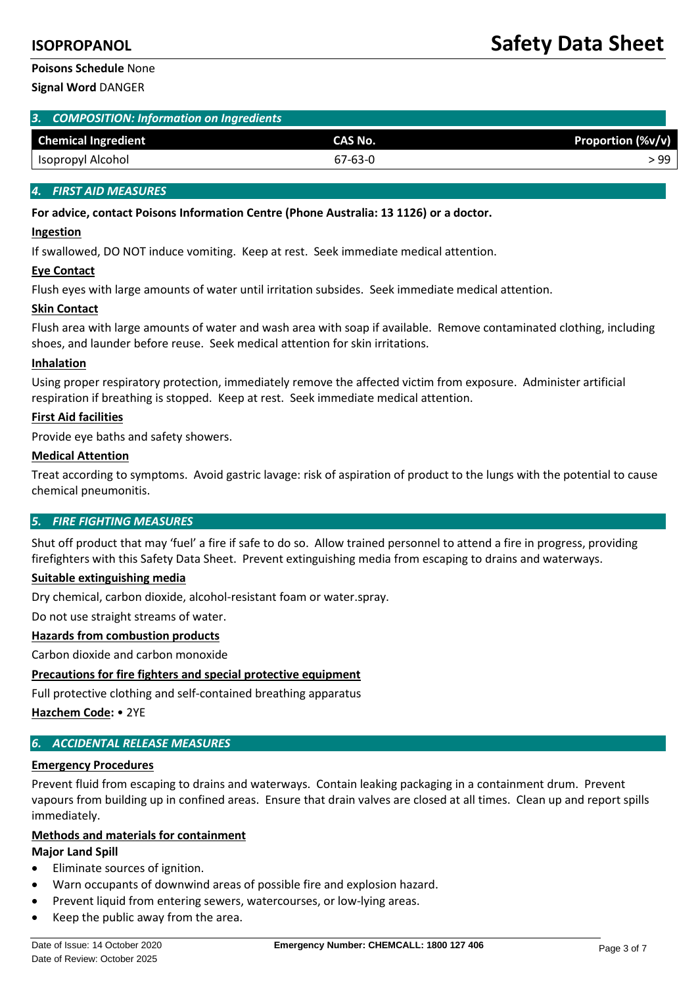# **Poisons Schedule** None

**Signal Word** DANGER

|  | 3. COMPOSITION: Information on Ingredients |  |
|--|--------------------------------------------|--|
|--|--------------------------------------------|--|

| <b>Chemical Ingredient</b> | CAS No. | ∣ (%v/v)<br><b>Proportion</b> |
|----------------------------|---------|-------------------------------|
| Isopropyl Alcohol          | 67-63-0 | -99                           |

# *4. FIRST AID MEASURES*

### **For advice, contact Poisons Information Centre (Phone Australia: 13 1126) or a doctor.**

### **Ingestion**

If swallowed, DO NOT induce vomiting. Keep at rest. Seek immediate medical attention.

### **Eye Contact**

Flush eyes with large amounts of water until irritation subsides. Seek immediate medical attention.

### **Skin Contact**

Flush area with large amounts of water and wash area with soap if available. Remove contaminated clothing, including shoes, and launder before reuse. Seek medical attention for skin irritations.

### **Inhalation**

Using proper respiratory protection, immediately remove the affected victim from exposure. Administer artificial respiration if breathing is stopped. Keep at rest. Seek immediate medical attention.

# **First Aid facilities**

Provide eye baths and safety showers.

# **Medical Attention**

Treat according to symptoms. Avoid gastric lavage: risk of aspiration of product to the lungs with the potential to cause chemical pneumonitis.

# *5. FIRE FIGHTING MEASURES*

Shut off product that may 'fuel' a fire if safe to do so. Allow trained personnel to attend a fire in progress, providing firefighters with this Safety Data Sheet. Prevent extinguishing media from escaping to drains and waterways.

### **Suitable extinguishing media**

Dry chemical, carbon dioxide, alcohol-resistant foam or water.spray.

Do not use straight streams of water.

# **Hazards from combustion products**

Carbon dioxide and carbon monoxide

# **Precautions for fire fighters and special protective equipment**

Full protective clothing and self-contained breathing apparatus

**Hazchem Code:** • 2YE

# *6. ACCIDENTAL RELEASE MEASURES*

### **Emergency Procedures**

Prevent fluid from escaping to drains and waterways. Contain leaking packaging in a containment drum. Prevent vapours from building up in confined areas. Ensure that drain valves are closed at all times. Clean up and report spills immediately.

### **Methods and materials for containment**

### **Major Land Spill**

- Eliminate sources of ignition.
- Warn occupants of downwind areas of possible fire and explosion hazard.
- Prevent liquid from entering sewers, watercourses, or low-lying areas.
- Keep the public away from the area.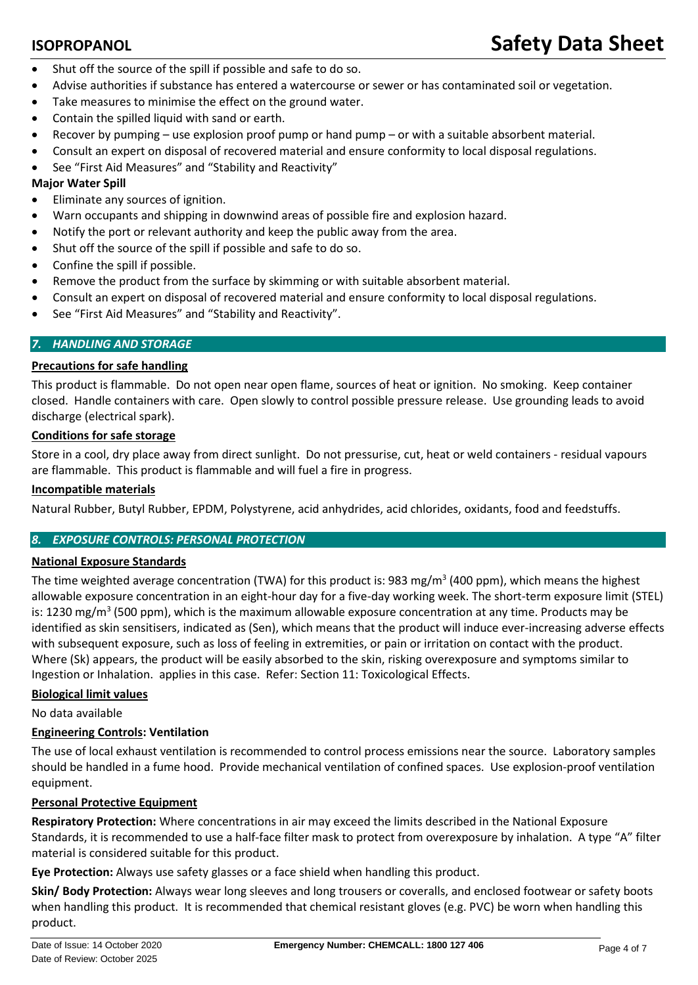- Shut off the source of the spill if possible and safe to do so.
- Advise authorities if substance has entered a watercourse or sewer or has contaminated soil or vegetation.
- Take measures to minimise the effect on the ground water.
- Contain the spilled liquid with sand or earth.
- Recover by pumping use explosion proof pump or hand pump or with a suitable absorbent material.
- Consult an expert on disposal of recovered material and ensure conformity to local disposal regulations.
- See "First Aid Measures" and "Stability and Reactivity"

# **Major Water Spill**

- Eliminate any sources of ignition.
- Warn occupants and shipping in downwind areas of possible fire and explosion hazard.
- Notify the port or relevant authority and keep the public away from the area.
- Shut off the source of the spill if possible and safe to do so.
- Confine the spill if possible.
- Remove the product from the surface by skimming or with suitable absorbent material.
- Consult an expert on disposal of recovered material and ensure conformity to local disposal regulations.
- See "First Aid Measures" and "Stability and Reactivity".

# *7. HANDLING AND STORAGE*

# **Precautions for safe handling**

This product is flammable. Do not open near open flame, sources of heat or ignition. No smoking. Keep container closed. Handle containers with care. Open slowly to control possible pressure release. Use grounding leads to avoid discharge (electrical spark).

### **Conditions for safe storage**

Store in a cool, dry place away from direct sunlight. Do not pressurise, cut, heat or weld containers - residual vapours are flammable. This product is flammable and will fuel a fire in progress.

### **Incompatible materials**

Natural Rubber, Butyl Rubber, EPDM, Polystyrene, acid anhydrides, acid chlorides, oxidants, food and feedstuffs.

### *8. EXPOSURE CONTROLS: PERSONAL PROTECTION*

### **National Exposure Standards**

The time weighted average concentration (TWA) for this product is: 983 mg/m<sup>3</sup> (400 ppm), which means the highest allowable exposure concentration in an eight-hour day for a five-day working week. The short-term exposure limit (STEL) is: 1230 mg/m<sup>3</sup> (500 ppm), which is the maximum allowable exposure concentration at any time. Products may be identified as skin sensitisers, indicated as (Sen), which means that the product will induce ever-increasing adverse effects with subsequent exposure, such as loss of feeling in extremities, or pain or irritation on contact with the product. Where (Sk) appears, the product will be easily absorbed to the skin, risking overexposure and symptoms similar to Ingestion or Inhalation. applies in this case. Refer: Section 11: Toxicological Effects.

### **Biological limit values**

No data available

### **Engineering Controls: Ventilation**

The use of local exhaust ventilation is recommended to control process emissions near the source. Laboratory samples should be handled in a fume hood. Provide mechanical ventilation of confined spaces. Use explosion-proof ventilation equipment.

### **Personal Protective Equipment**

**Respiratory Protection:** Where concentrations in air may exceed the limits described in the National Exposure Standards, it is recommended to use a half-face filter mask to protect from overexposure by inhalation. A type "A" filter material is considered suitable for this product.

**Eye Protection:** Always use safety glasses or a face shield when handling this product.

**Skin/ Body Protection:** Always wear long sleeves and long trousers or coveralls, and enclosed footwear or safety boots when handling this product. It is recommended that chemical resistant gloves (e.g. PVC) be worn when handling this product.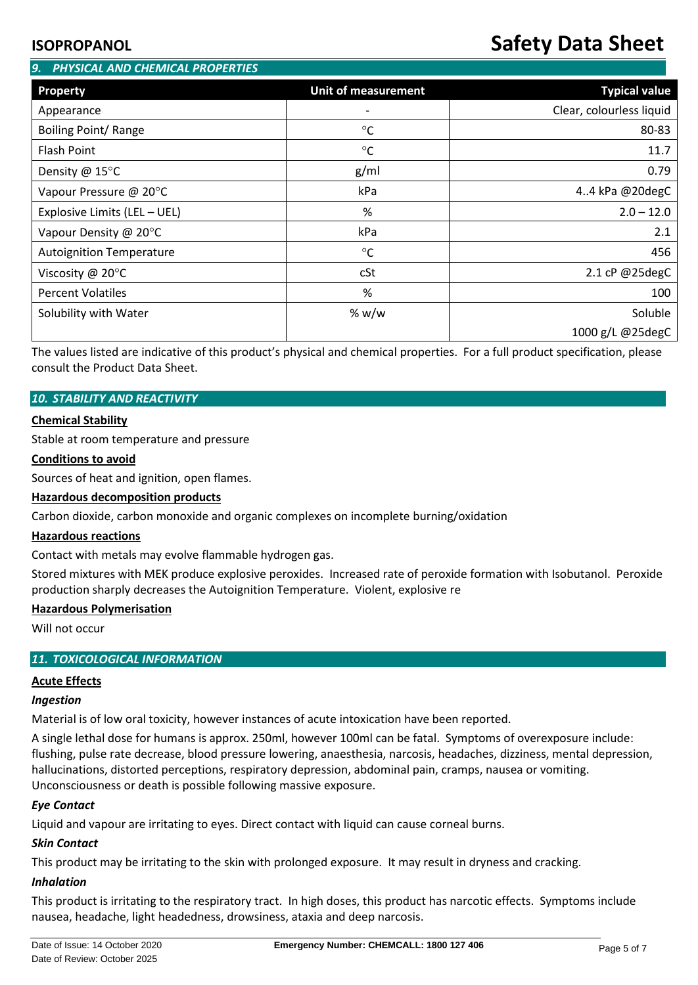# **ISOPROPANOL Safety Data Sheet**

| 9. PHYSICAL AND CHEMICAL PROPERTIES |                            |                          |  |  |  |  |  |
|-------------------------------------|----------------------------|--------------------------|--|--|--|--|--|
| Property                            | <b>Unit of measurement</b> | <b>Typical value</b>     |  |  |  |  |  |
| Appearance                          |                            | Clear, colourless liquid |  |  |  |  |  |
| Boiling Point/ Range                | $^{\circ}C$                | 80-83                    |  |  |  |  |  |
| Flash Point                         | $\rm ^{\circ}C$            | 11.7                     |  |  |  |  |  |
| Density @ 15°C                      | g/ml                       | 0.79                     |  |  |  |  |  |
| Vapour Pressure @ 20°C              | kPa                        | 4.4 kPa @20degC          |  |  |  |  |  |
| Explosive Limits (LEL - UEL)        | %                          | $2.0 - 12.0$             |  |  |  |  |  |
| Vapour Density @ 20°C               | kPa                        | 2.1                      |  |  |  |  |  |
| <b>Autoignition Temperature</b>     | $\rm ^{\circ}C$            | 456                      |  |  |  |  |  |
| Viscosity @ $20^{\circ}$ C          | cSt                        | 2.1 cP @25degC           |  |  |  |  |  |
| <b>Percent Volatiles</b>            | %                          | 100                      |  |  |  |  |  |
| Solubility with Water               | % $w/w$                    | Soluble                  |  |  |  |  |  |
|                                     |                            | 1000 g/L @25degC         |  |  |  |  |  |

The values listed are indicative of this product's physical and chemical properties. For a full product specification, please consult the Product Data Sheet.

### *10. STABILITY AND REACTIVITY*

### **Chemical Stability**

Stable at room temperature and pressure

### **Conditions to avoid**

Sources of heat and ignition, open flames.

### **Hazardous decomposition products**

Carbon dioxide, carbon monoxide and organic complexes on incomplete burning/oxidation

#### **Hazardous reactions**

Contact with metals may evolve flammable hydrogen gas.

Stored mixtures with MEK produce explosive peroxides. Increased rate of peroxide formation with Isobutanol. Peroxide production sharply decreases the Autoignition Temperature. Violent, explosive re

### **Hazardous Polymerisation**

Will not occur

### *11. TOXICOLOGICAL INFORMATION*

### **Acute Effects**

#### *Ingestion*

Material is of low oral toxicity, however instances of acute intoxication have been reported.

A single lethal dose for humans is approx. 250ml, however 100ml can be fatal. Symptoms of overexposure include: flushing, pulse rate decrease, blood pressure lowering, anaesthesia, narcosis, headaches, dizziness, mental depression, hallucinations, distorted perceptions, respiratory depression, abdominal pain, cramps, nausea or vomiting. Unconsciousness or death is possible following massive exposure.

### *Eye Contact*

Liquid and vapour are irritating to eyes. Direct contact with liquid can cause corneal burns.

### *Skin Contact*

This product may be irritating to the skin with prolonged exposure. It may result in dryness and cracking.

#### *Inhalation*

This product is irritating to the respiratory tract. In high doses, this product has narcotic effects. Symptoms include nausea, headache, light headedness, drowsiness, ataxia and deep narcosis.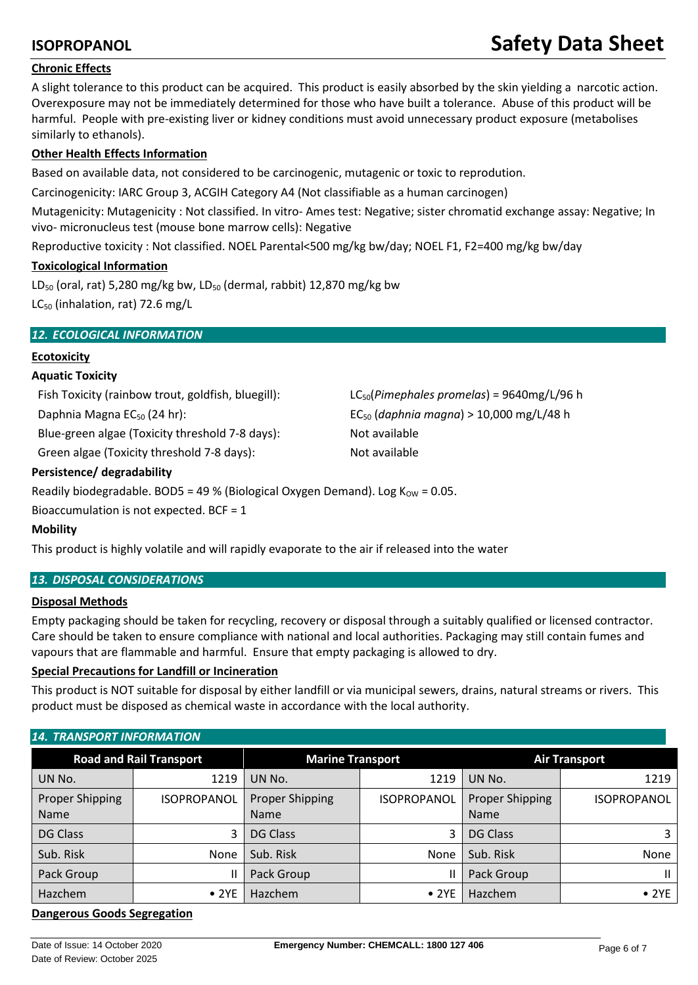# **ISOPROPANOL Safety Data Sheet**

# **Chronic Effects**

A slight tolerance to this product can be acquired. This product is easily absorbed by the skin yielding a narcotic action. Overexposure may not be immediately determined for those who have built a tolerance. Abuse of this product will be harmful. People with pre-existing liver or kidney conditions must avoid unnecessary product exposure (metabolises similarly to ethanols).

# **Other Health Effects Information**

Based on available data, not considered to be carcinogenic, mutagenic or toxic to reprodution.

Carcinogenicity: IARC Group 3, ACGIH Category A4 (Not classifiable as a human carcinogen)

Mutagenicity: Mutagenicity : Not classified. In vitro- Ames test: Negative; sister chromatid exchange assay: Negative; In vivo- micronucleus test (mouse bone marrow cells): Negative

Reproductive toxicity : Not classified. NOEL Parental<500 mg/kg bw/day; NOEL F1, F2=400 mg/kg bw/day

# **Toxicological Information**

LD<sub>50</sub> (oral, rat) 5,280 mg/kg bw, LD<sub>50</sub> (dermal, rabbit) 12,870 mg/kg bw LC<sub>50</sub> (inhalation, rat) 72.6 mg/L

# *12. ECOLOGICAL INFORMATION*

# **Ecotoxicity**

# **Aquatic Toxicity**

Fish Toxicity (rainbow trout, goldfish, bluegill): LC50(*Pimephales promelas*) = 9640mg/L/96 h

Blue-green algae (Toxicity threshold 7-8 days): Not available

Green algae (Toxicity threshold 7-8 days): Not available

Daphnia Magna EC50 (24 hr): EC50 (*daphnia magna*) > 10,000 mg/L/48 h

### **Persistence/ degradability**

Readily biodegradable. BOD5 = 49 % (Biological Oxygen Demand). Log  $K_{\text{OW}} = 0.05$ .

Bioaccumulation is not expected. BCF = 1

# **Mobility**

This product is highly volatile and will rapidly evaporate to the air if released into the water

# *13. DISPOSAL CONSIDERATIONS*

### **Disposal Methods**

Empty packaging should be taken for recycling, recovery or disposal through a suitably qualified or licensed contractor. Care should be taken to ensure compliance with national and local authorities. Packaging may still contain fumes and vapours that are flammable and harmful. Ensure that empty packaging is allowed to dry.

# **Special Precautions for Landfill or Incineration**

This product is NOT suitable for disposal by either landfill or via municipal sewers, drains, natural streams or rivers. This product must be disposed as chemical waste in accordance with the local authority.

### *14. TRANSPORT INFORMATION*

|                                       | <b>Road and Rail Transport</b> | <b>Marine Transport</b>               |                    | <b>Air Transport</b>                  |                    |
|---------------------------------------|--------------------------------|---------------------------------------|--------------------|---------------------------------------|--------------------|
| UN No.                                | 1219                           | UN No.                                | 1219               | UN No.                                | 1219               |
| <b>Proper Shipping</b><br><b>Name</b> | <b>ISOPROPANOL</b>             | <b>Proper Shipping</b><br><b>Name</b> | <b>ISOPROPANOL</b> | <b>Proper Shipping</b><br><b>Name</b> | <b>ISOPROPANOL</b> |
| <b>DG Class</b>                       | 3                              | <b>DG Class</b>                       | 3                  | <b>DG Class</b>                       | 3                  |
| Sub. Risk                             | None                           | Sub. Risk                             | None               | Sub. Risk                             | None               |
| Pack Group                            | Ш                              | Pack Group                            |                    | Pack Group                            | Ш                  |
| Hazchem                               | • 2YE                          | Hazchem                               | $\bullet$ 2YE      | Hazchem                               | $\bullet$ 2YE      |

# **Dangerous Goods Segregation**